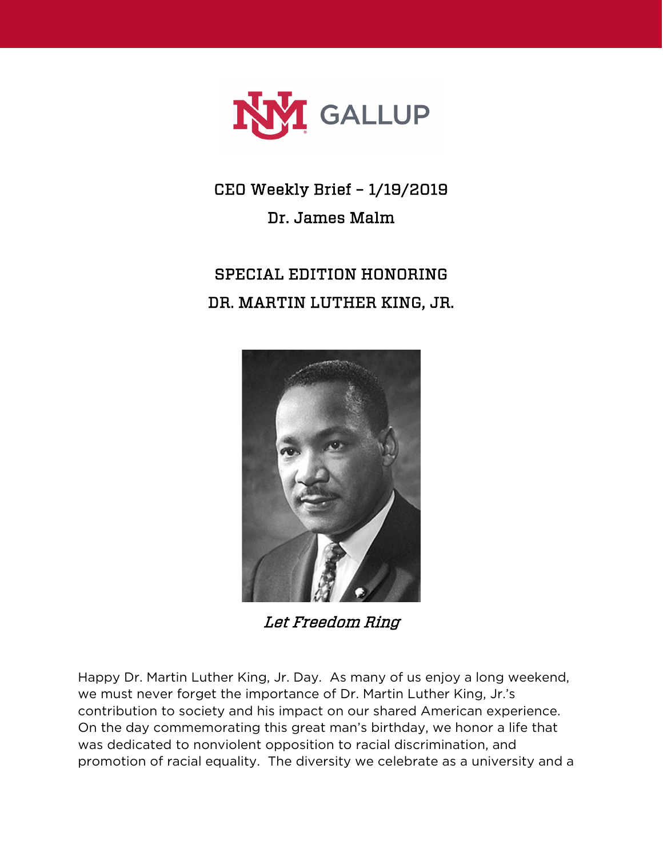

CEO Weekly Brief – 1/19/2019 Dr. James Malm

## SPECIAL EDITION HONORING DR. MARTIN LUTHER KING, JR.



Let Freedom Ring

Happy Dr. Martin Luther King, Jr. Day. As many of us enjoy a long weekend, we must never forget the importance of Dr. Martin Luther King, Jr.'s contribution to society and his impact on our shared American experience. On the day commemorating this great man's birthday, we honor a life that was dedicated to nonviolent opposition to racial discrimination, and promotion of racial equality. The diversity we celebrate as a university and a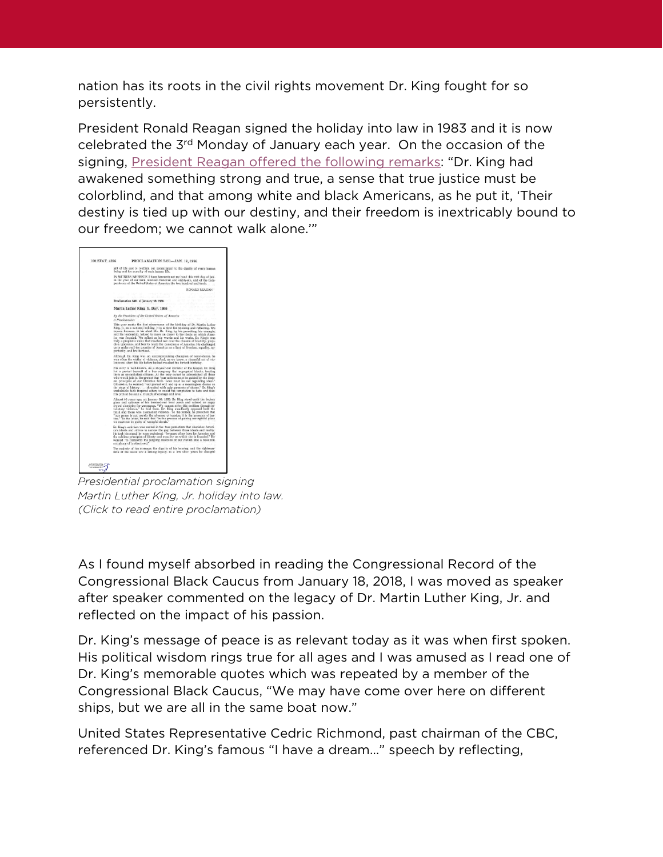nation has its roots in the civil rights movement Dr. King fought for so persistently.

President Ronald Reagan signed the holiday into law in 1983 and it is now celebrated the 3rd Monday of January each year. On the occasion of the signing, [President Reagan offered the following remarks:](https://www.whatsoproudlywehail.org/curriculum/the-american-calendar/remarks-on-signing-the-bill-making-the-birthday-of-martin-luther-king-jr-a-national-holiday) "Dr. King had awakened something strong and true, a sense that true justice must be colorblind, and that among white and black Americans, as he put it, 'Their destiny is tied up with our destiny, and their freedom is inextricably bound to our freedom; we cannot walk alone.'"



*Presidential proclamation signing Martin Luther King, Jr. holiday into law. (Click to read entire proclamation)*

As I found myself absorbed in reading the Congressional Record of the Congressional Black Caucus from January 18, 2018, I was moved as speaker after speaker commented on the legacy of Dr. Martin Luther King, Jr. and reflected on the impact of his passion.

Dr. King's message of peace is as relevant today as it was when first spoken. His political wisdom rings true for all ages and I was amused as I read one of Dr. King's memorable quotes which was repeated by a member of the Congressional Black Caucus, "We may have come over here on different ships, but we are all in the same boat now."

United States Representative Cedric Richmond, past chairman of the CBC, referenced Dr. King's famous "I have a dream…" speech by reflecting,